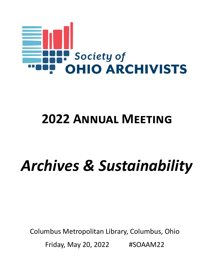

# **2022 ANNUAL MEETING**

# *Archives & Sustainability*

Columbus Metropolitan Library, Columbus, Ohio Friday, May 20, 2022 #SOAAM22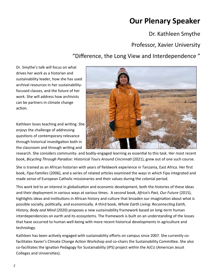## **Our Plenary Speaker**

Dr. Kathleen Smythe

### Professor, Xavier University

### "Difference, the Long View and Interdependence "

Dr. Smythe's talk will focus on what drives her work as a historian and sustainability leader, how she has used archival resources in her sustainability‐ focused classes, and the future of her work. She will address how archivists can be partners in climate change action.

Kathleen loves teaching and writing. She enjoys the challenge of addressing questions of contemporary relevance through historical investigation both in the classroom and through writing and



research. She considers community- and bodily-engaged learning as essential to this task. Her most recent book, *Bicycling Through Paradise: Historical Tours Around Cincinnati* (2021), grew out of one such course.

She is trained as an African historian with years of fieldwork experience in Tanzania, East Africa. Her first book, *Fipa Families* (2006), and a series of related arƟcles examined the ways in which Fipa integrated and made sense of European Catholic missionaries and their values during the colonial period.

This work led to an interest in globalization and economic development, both the histories of these ideas and their deployment in various ways at various times. A second book, Africa's Past, Our Future (2015), highlights ideas and institutions in African history and culture that broaden our imagination about what is possible socially, politically, and economically. A third book, *Whole Earth Living: Reconnecting Earth, History, Body and Mind* (2020) proposes a new sustainability framework based on long‐term human interdependencies on earth and its ecosystems. The framework is built on an understanding of the losses that have occurred to human well‐being with more recent historical developments in agriculture and technology.

Kathleen has been actively engaged with sustainability efforts on campus since 2007. She currently cofacilitates Xavier's Climate Change Action Workshop and co-chairs the Sustainability Committee. She also co-facilitates the Ignatian Pedagogy for Sustainability (IPS) project within the AJCU (American Jesuit Colleges and Universities).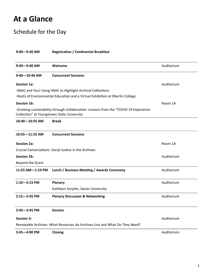## **At a Glance**

### Schedule for the Day

| $9:00 - 9:30$ AM                           | <b>Registration / Continental Breakfast</b>                                          |            |
|--------------------------------------------|--------------------------------------------------------------------------------------|------------|
| $9:30 - 9:40$ AM                           | Welcome                                                                              | Auditorium |
| $9:40 - 10:40$ AM                          | <b>Concurrent Sessions</b>                                                           |            |
| <b>Session 1a:</b>                         |                                                                                      | Auditorium |
|                                            | -SNAC and You! Using SNAC to Highlight Archival Collections                          |            |
|                                            | -Roots of Environmental Education and a Virtual Exhibition at Oberlin College        |            |
| <b>Session 1b:</b>                         |                                                                                      | Room 1A    |
| Collection" at Youngstown State University | -Growing sustainability through collaboration: Lessons from the "COVID-19 Experience |            |
| 10:40-10:55 AM                             | <b>Break</b>                                                                         |            |
| 10:55-11:55 AM                             | <b>Concurrent Sessions</b>                                                           |            |
| <b>Session 2a:</b>                         |                                                                                      | Room 1A    |
|                                            | Crucial Conversations: Social Justice in the Archives                                |            |
| <b>Session 2b:</b>                         |                                                                                      | Auditorium |
| Beyond the Grant                           |                                                                                      |            |
| 11:55 AM-1:10 PM                           | Lunch / Business Meeting / Awards Ceremony                                           | Auditorium |
| $1:10 - 2:15$ PM                           | Plenary:                                                                             | Auditorium |
|                                            | Kathleen Smythe, Xavier University                                                   |            |
| $2:15 - 2:45$ PM                           | <b>Plenary Discussion &amp; Networking</b>                                           | Auditorium |
| $2:45 - 3:45$ PM                           | <b>Session</b>                                                                       |            |
| <b>Session 3:</b>                          |                                                                                      | Auditorium |
|                                            | Renewable Archives: What Resources do Archives Use and What Do They Need?            |            |
| $3:45 - 4:00$ PM                           | Closing                                                                              | Auditorium |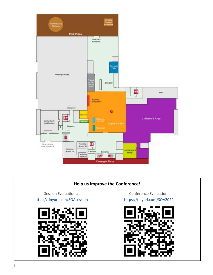







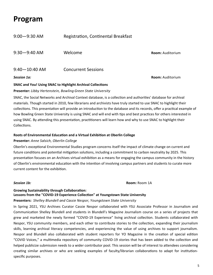### **Program**

| Session 1a:       |                                     | <b>Room: Auditorium</b> |
|-------------------|-------------------------------------|-------------------------|
| $9:40 - 10:40$ AM | <b>Concurrent Sessions</b>          |                         |
| $9:30 - 9:40$ AM  | Welcome                             | <b>Room: Auditorium</b> |
| $9:00 - 9:30$ AM  | Registration, Continental Breakfast |                         |

#### **SNAC and You! Using SNAC to Highlight Archival Collections**

#### **Presenter:** *Libby Hertenstein, Bowling Green State University*

SNAC, the Social Networks and Archival Context database, is a collection and authorities' database for archival materials. Though started in 2010, few librarians and archivists have truly started to use SNAC to highlight their collections. This presentation will provide an introduction to the database and its records, offer a practical example of how Bowling Green State University is using SNAC and will end with tips and best practices for others interested in using SNAC. By attending this presentation, practitioners will learn how and why to use SNAC to highlight their Collections.

#### **Roots of Environmental Education and a Virtual Exhibition at Oberlin College**

#### **Presenter:** *Anne Salsich, Oberlin College*

Oberlin's exceptional Environmental Studies program concerns itself the impact of climate change on current and future conditions and potential mitigation solutions, including a commitment to carbon neutrality by 2025. This presentation focuses on an Archives virtual exhibition as a means for engaging the campus community in the history of Oberlin's environmental education with the intention of involving campus partners and students to curate more current content for the exhibition.

*Session 1b:* **Room:** Room 1A

#### **Growing Sustainability through Collaboration:** Lessons from the "COVID-19 Experience Collection" at Youngstown State University

#### **Presenters:** *Shelley Blundell and Cassie Nespor, Youngstown State University*

In Spring 2021, YSU Archives Curator Cassie Nespor collaborated with YSU Associate Professor in Journalism and Communication Shelley Blundell and students in Blundell's Magazine Journalism course on a series of projects that grew and marketed the newly formed "COVID-19 Experience" living archival collection. Students collaborated with Nespor, YSU community members, and each other to contribute stories to the collection, expanding their journalism skills, learning archival literacy competencies, and experiencing the value of using archives to support journalism. Nespor and Blundell also collaborated with student reporters for YO Magazine in the creation of special edition "COVID Voices," a multimedia repository of community COVID-19 stories that has been added to the collection and helped publicize submission needs to a wider contributor pool. This session will be of interest to attendees considering creating similar archives or who are seeking examples of faculty/librarian collaborations to adapt for institutionspecific purposes.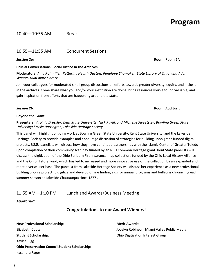#### 10:40—10:55 AM Break

#### 10:55—11:55 AM Concurrent Sessions

#### *Session 2a:* **Room:** Room 1A

#### **Crucial ConversaƟons: Social JusƟce in the Archives**

**Moderators:** *Amy Rohmiller, KeƩering Health Dayton; Penelope Shumaker, State Library of Ohio; and Adam Wanter, MidPointe Library* 

Join your colleagues for moderated small group discussions on efforts towards greater diversity, equity, and inclusion in the archives. Come share what you and/or your institution are doing, bring resources you've found valuable, and gain inspiration from efforts that are happening around the state.

#### **Beyond the Grant**

**Presenters:** *Virginia Dressler, Kent State University; Nick Pavlik and Michelle Sweetster, Bowling Green State University; Kaysie Harrington, Lakeside Heritage Society* 

This panel will highlight ongoing work at Bowling Green State University, Kent State University, and the Lakeside Heritage Society to provide examples and encourage discussion of strategies for building upon grant-funded digital projects. BGSU panelists will discuss how they have continued partnerships with the Islamic Center of Greater Toledo upon completion of their community scan day funded by an NEH Common Heritage grant. Kent State panelists will discuss the digitization of the Ohio Sanborn Fire Insurance map collection, funded by the Ohio Local History Alliance and the Ohio History Fund, which has led to increased and more innovative use of the collection by an expanded and more diverse user base. The panelist from Lakeside Heritage Society will discuss her experience as a new professional building upon a project to digitize and develop online finding aids for annual programs and bulletins chronicling each summer season at Lakeside Chautauqua since 1877 .

#### 11:55 AM-1:10 PM Lunch and Awards/Business Meeting

*Auditorium* 

#### **Congratulations to our Award Winners!**

**New Professional Scholarship:**  Werk Merit Awards: Elizabeth Coots Jocelyn Robinson, Miami Valley Public Media **Student Scholarship: Chio Digitization Interest Group** Kaylee Rigg **Ohio Preservation Council Student Scholarship:** Kasandra Fager

*Session 2b:* **Room:** Auditorium

### **Program**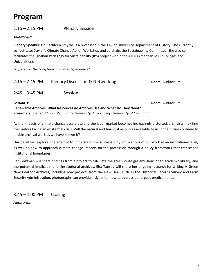### **Program**

### 1:15—2:15 PM Plenary Session

*Auditorium*

**Plenary Speaker:** Dr. Kathleen Smythe is a professor in the Xavier University Department of History. She currently co-facilitates Xavier's Climate Change Action Workshop and co-chairs the Sustainability Committee. She also cofacilitates the Ignatian Pedagogy for Sustainability (IPS) project within the AJCU (American Jesuit Colleges and Universities).

*"Difference, the Long View and Interdependence"* 

| $2:15 - 2:45$ PM | <b>Plenary Discussion &amp; Networking</b> | <b>Room:</b> Auditorium |
|------------------|--------------------------------------------|-------------------------|
| $2:45 - 3:45$ PM | Session                                    |                         |

*Session 3:* **Room:** Auditorium **Renewable Archives: What Resources do Archives Use and What Do They Need? Presenters:** *Ben Goldman, Penn State University; Eira Tansey, University of CincinnaƟ* 

As the impacts of climate change accelerate and the labor market becomes increasingly distorted, archivists may find themselves facing an existential crisis. Will the natural and financial resources available to us in the future continue to enable archival work as we have known it?

Our panel will explore one attempt to understand the sustainability implications of our work at an institutional level, as well as how to approach climate change impacts on the profession through a policy framework that transcends institutional boundaries.

Ben Goldman will share findings from a project to calculate the greenhouse gas emissions of an academic library, and the potential implications for institutional archives. Eira Tansey will share her ongoing research for writing A Green New Deal for Archives, including how projects from the New Deal, such as the Historical Records Survey and Farm Security Administration, photographs can provide insights for how to address our urgent predicaments.

3:45—4:00 PM Closing

*Auditorium*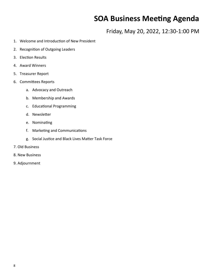### **SOA Business Meeting Agenda**

Friday, May 20, 2022, 12:30‐1:00 PM

- 1. Welcome and Introduction of New President
- 2. Recognition of Outgoing Leaders
- 3. Election Results
- 4. Award Winners
- 5. Treasurer Report
- 6. CommiƩees Reports
	- a. Advocacy and Outreach
	- b. Membership and Awards
	- c. Educational Programming
	- d. Newsletter
	- e. Nominating
	- f. Marketing and Communications
	- g. Social Justice and Black Lives Matter Task Force
- 7. Old Business
- 8. New Business
- 9. Adjournment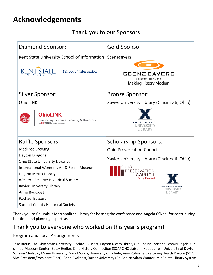## **Acknowledgements**

### Thank you to our Sponsors

| Diamond Sponsor:                                                                              | Gold Sponsor:                                                               |  |
|-----------------------------------------------------------------------------------------------|-----------------------------------------------------------------------------|--|
| Kent State University School of Information                                                   | Scenesavers                                                                 |  |
| <b>STATE</b><br><b>School of Information</b>                                                  | <b>SCENE SAVERS</b><br>a division of The PPS Group<br>Making History Modern |  |
| Silver Sponsor:                                                                               | <b>Bronze Sponsor:</b>                                                      |  |
| OhioLINK                                                                                      | Xavier University Library (Cincinnati, Ohio)                                |  |
| <b>OhioLINK</b><br>Connecting Libraries, Learning & Discovery<br>An OH·TECH Consortium Member | <b>XAVIER UNIVERSITY</b><br>UNIVERSITY<br>LIBRARY                           |  |
| Raffle Sponsors:                                                                              | Scholarship Sponsors:                                                       |  |
| MadTree Brewing                                                                               | <b>Ohio Preservation Council</b>                                            |  |
| Dayton Dragons<br><b>Ohio State University Libraries</b>                                      | Xavier University Library (Cincinnati, Ohio)                                |  |
| International Women's Air & Space Museum<br>Dayton Metro Library                              | OHIO<br><b>RESERVATION</b><br>COUNCIL                                       |  |
| <b>Western Reserve Historical Society</b>                                                     | History, Preserved.                                                         |  |
| Xavier University Library                                                                     | <b>XAVIER UNIVERSITY</b><br>UNIVERSITY                                      |  |
| Anne Ryckbost                                                                                 | LIBRARY                                                                     |  |
| <b>Rachael Bussert</b>                                                                        |                                                                             |  |
| <b>Summit County Historical Society</b>                                                       |                                                                             |  |

Thank you to Columbus Metropolitan Library for hosting the conference and Angela O'Neal for contributing her time and planning expertise.

### Thank you to everyone who worked on this year's program!

### Program and Local Arrangements

Jolie Braun, The Ohio State University; Rachael Bussert, Dayton Metro Library (Co-Chair); Christine Schmid Engels, Cincinnati Museum Center; Betsy Hedler, Ohio History Connection (SOA/ OHC Liaison); Katie Jarrell, University of Dayton; William Modrow, Miami University; Sara Mouch, University of Toledo, Amy Rohmiller, Kettering Health Dayton (SOA Vice President/President‐Elect); Anne Ryckbost, Xavier University (Co‐Chair); Adam Wanter, MidPointe Library System